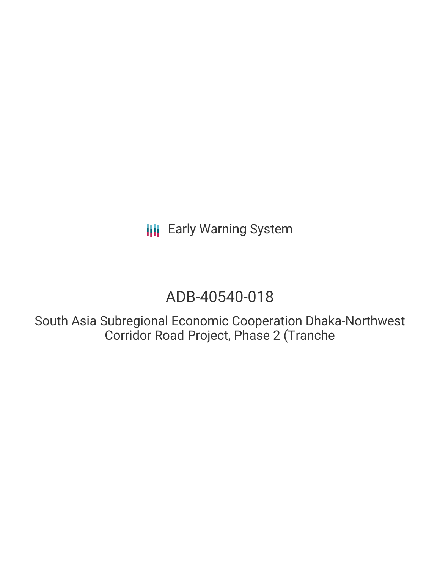**III** Early Warning System

# ADB-40540-018

South Asia Subregional Economic Cooperation Dhaka-Northwest Corridor Road Project, Phase 2 (Tranche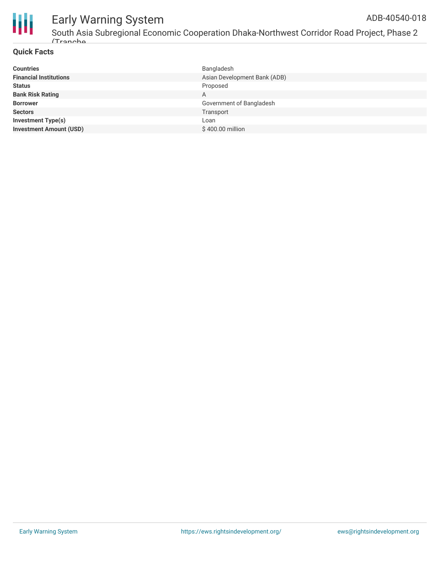

#### Early Warning System ADB-40540-018

South Asia Subregional Economic Cooperation Dhaka-Northwest Corridor Road Project, Phase 2 (Tranche

#### **Quick Facts**

| <b>Countries</b>               | Bangladesh                   |
|--------------------------------|------------------------------|
| <b>Financial Institutions</b>  | Asian Development Bank (ADB) |
| <b>Status</b>                  | Proposed                     |
| <b>Bank Risk Rating</b>        | A                            |
| <b>Borrower</b>                | Government of Bangladesh     |
| <b>Sectors</b>                 | Transport                    |
| <b>Investment Type(s)</b>      | Loan                         |
| <b>Investment Amount (USD)</b> | \$400.00 million             |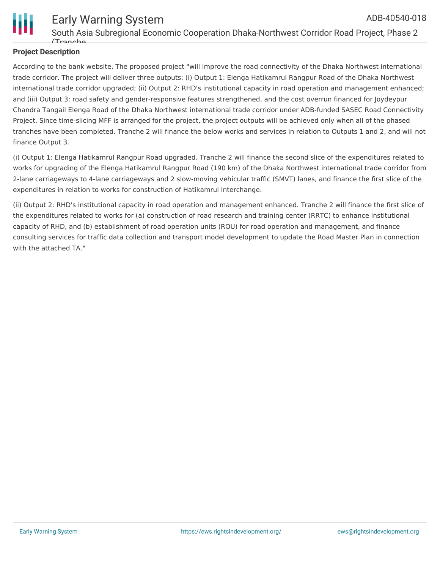

#### **Project Description**

According to the bank website, The proposed project "will improve the road connectivity of the Dhaka Northwest international trade corridor. The project will deliver three outputs: (i) Output 1: Elenga Hatikamrul Rangpur Road of the Dhaka Northwest international trade corridor upgraded; (ii) Output 2: RHD's institutional capacity in road operation and management enhanced; and (iii) Output 3: road safety and gender-responsive features strengthened, and the cost overrun financed for Joydeypur Chandra Tangail Elenga Road of the Dhaka Northwest international trade corridor under ADB-funded SASEC Road Connectivity Project. Since time-slicing MFF is arranged for the project, the project outputs will be achieved only when all of the phased tranches have been completed. Tranche 2 will finance the below works and services in relation to Outputs 1 and 2, and will not finance Output 3.

(i) Output 1: Elenga Hatikamrul Rangpur Road upgraded. Tranche 2 will finance the second slice of the expenditures related to works for upgrading of the Elenga Hatikamrul Rangpur Road (190 km) of the Dhaka Northwest international trade corridor from 2-lane carriageways to 4-lane carriageways and 2 slow-moving vehicular traffic (SMVT) lanes, and finance the first slice of the expenditures in relation to works for construction of Hatikamrul Interchange.

(ii) Output 2: RHD's institutional capacity in road operation and management enhanced. Tranche 2 will finance the first slice of the expenditures related to works for (a) construction of road research and training center (RRTC) to enhance institutional capacity of RHD, and (b) establishment of road operation units (ROU) for road operation and management, and finance consulting services for traffic data collection and transport model development to update the Road Master Plan in connection with the attached TA."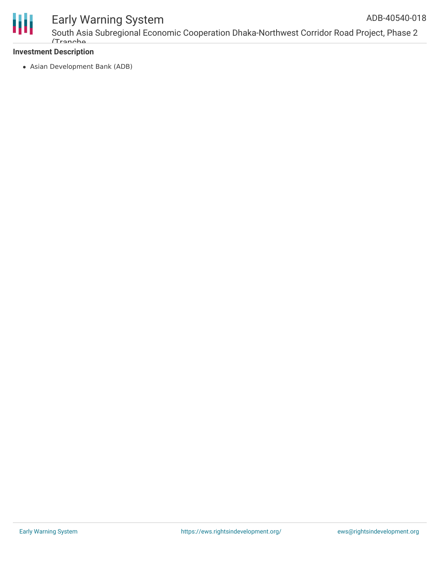

## Early Warning System

South Asia Subregional Economic Cooperation Dhaka-Northwest Corridor Road Project, Phase 2 (Tranche

#### **Investment Description**

Asian Development Bank (ADB)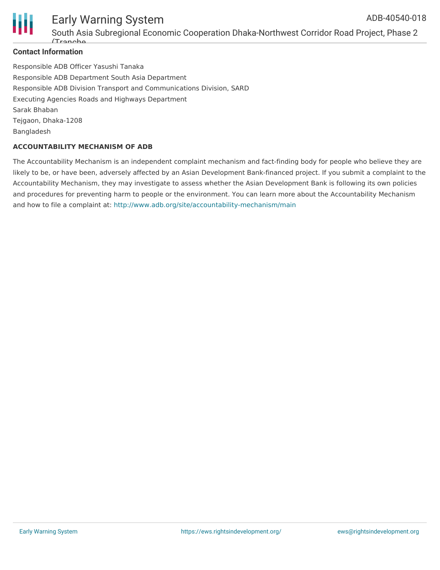



#### Early Warning System South Asia Subregional Economic Cooperation Dhaka-Northwest Corridor Road Project, Phase 2 (Tranche

#### **Contact Information**

Responsible ADB Officer Yasushi Tanaka Responsible ADB Department South Asia Department Responsible ADB Division Transport and Communications Division, SARD Executing Agencies Roads and Highways Department Sarak Bhaban Tejgaon, Dhaka-1208 Bangladesh

#### **ACCOUNTABILITY MECHANISM OF ADB**

The Accountability Mechanism is an independent complaint mechanism and fact-finding body for people who believe they are likely to be, or have been, adversely affected by an Asian Development Bank-financed project. If you submit a complaint to the Accountability Mechanism, they may investigate to assess whether the Asian Development Bank is following its own policies and procedures for preventing harm to people or the environment. You can learn more about the Accountability Mechanism and how to file a complaint at: <http://www.adb.org/site/accountability-mechanism/main>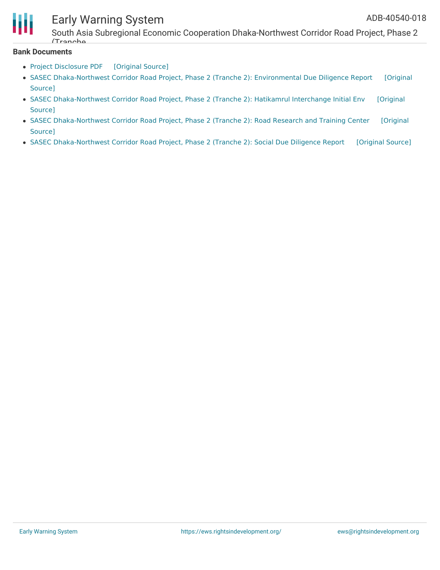

### Early Warning System

South Asia Subregional Economic Cooperation Dhaka-Northwest Corridor Road Project, Phase 2 (Tranche

#### **Bank Documents**

- Project [Disclosure](https://ewsdata.rightsindevelopment.org/files/documents/18/ADB-40540-018.pdf) PDF [\[Original](https://www.adb.org/printpdf/projects/40540-018/main) Source]
- SASEC [Dhaka-Northwest](https://www.adb.org/projects/documents/ban-40540-018-sddr) Corridor Road Project, Phase 2 (Tranche 2): Environmental Due Diligence Report [Original Source]
- SASEC [Dhaka-Northwest](https://www.adb.org/projects/documents/ban-40540-018-iee) Corridor Road Project, Phase 2 (Tranche 2): Hatikamrul Interchange Initial Env [Original Source]
- SASEC [Dhaka-Northwest](https://www.adb.org/projects/documents/ban-40540-018-iee-0) Corridor Road Project, Phase 2 (Tranche 2): Road Research and Training Center [Original Source]
- SASEC [Dhaka-Northwest](https://ewsdata.rightsindevelopment.org/files/documents/18/ADB-40540-018_GJPpQuZ.pdf) Corridor Road Project, Phase 2 (Tranche 2): Social Due Diligence Report [\[Original](https://www.adb.org/projects/documents/ban-40540-018-sddr-0) Source]